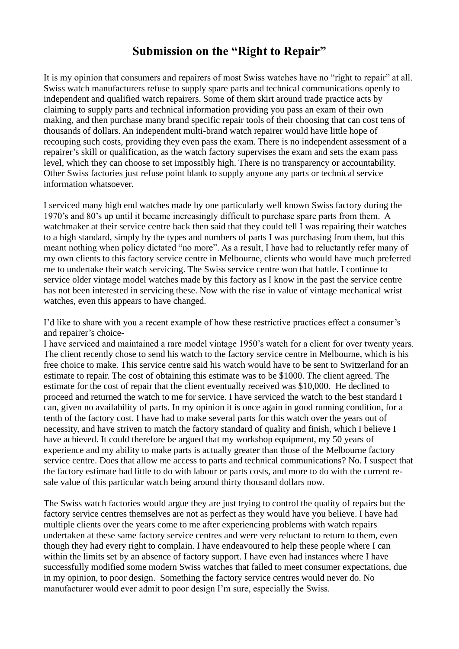## **Submission on the "Right to Repair"**

It is my opinion that consumers and repairers of most Swiss watches have no "right to repair" at all. Swiss watch manufacturers refuse to supply spare parts and technical communications openly to independent and qualified watch repairers. Some of them skirt around trade practice acts by claiming to supply parts and technical information providing you pass an exam of their own making, and then purchase many brand specific repair tools of their choosing that can cost tens of thousands of dollars. An independent multi-brand watch repairer would have little hope of recouping such costs, providing they even pass the exam. There is no independent assessment of a repairer's skill or qualification, as the watch factory supervises the exam and sets the exam pass level, which they can choose to set impossibly high. There is no transparency or accountability. Other Swiss factories just refuse point blank to supply anyone any parts or technical service information whatsoever.

I serviced many high end watches made by one particularly well known Swiss factory during the 1970's and 80's up until it became increasingly difficult to purchase spare parts from them. A watchmaker at their service centre back then said that they could tell I was repairing their watches to a high standard, simply by the types and numbers of parts I was purchasing from them, but this meant nothing when policy dictated "no more". As a result, I have had to reluctantly refer many of my own clients to this factory service centre in Melbourne, clients who would have much preferred me to undertake their watch servicing. The Swiss service centre won that battle. I continue to service older vintage model watches made by this factory as I know in the past the service centre has not been interested in servicing these. Now with the rise in value of vintage mechanical wrist watches, even this appears to have changed.

I'd like to share with you a recent example of how these restrictive practices effect a consumer's and repairer's choice-

I have serviced and maintained a rare model vintage 1950's watch for a client for over twenty years. The client recently chose to send his watch to the factory service centre in Melbourne, which is his free choice to make. This service centre said his watch would have to be sent to Switzerland for an estimate to repair. The cost of obtaining this estimate was to be \$1000. The client agreed. The estimate for the cost of repair that the client eventually received was \$10,000. He declined to proceed and returned the watch to me for service. I have serviced the watch to the best standard I can, given no availability of parts. In my opinion it is once again in good running condition, for a tenth of the factory cost. I have had to make several parts for this watch over the years out of necessity, and have striven to match the factory standard of quality and finish, which I believe I have achieved. It could therefore be argued that my workshop equipment, my 50 years of experience and my ability to make parts is actually greater than those of the Melbourne factory service centre. Does that allow me access to parts and technical communications? No. I suspect that the factory estimate had little to do with labour or parts costs, and more to do with the current resale value of this particular watch being around thirty thousand dollars now.

The Swiss watch factories would argue they are just trying to control the quality of repairs but the factory service centres themselves are not as perfect as they would have you believe. I have had multiple clients over the years come to me after experiencing problems with watch repairs undertaken at these same factory service centres and were very reluctant to return to them, even though they had every right to complain. I have endeavoured to help these people where I can within the limits set by an absence of factory support. I have even had instances where I have successfully modified some modern Swiss watches that failed to meet consumer expectations, due in my opinion, to poor design. Something the factory service centres would never do. No manufacturer would ever admit to poor design I'm sure, especially the Swiss.